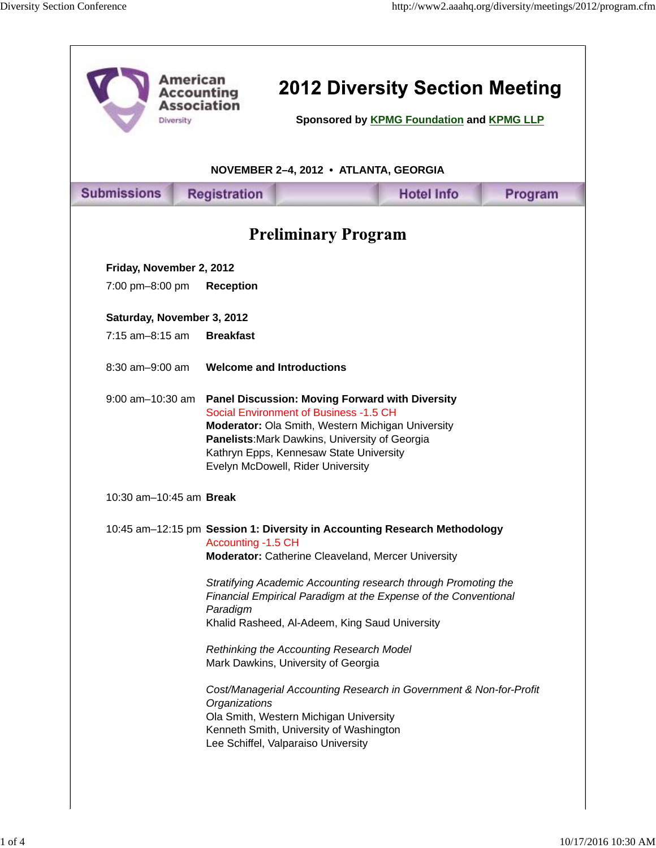| Diversity                             | <b>American</b><br><b>Accounting</b><br><b>Association</b> | <b>2012 Diversity Section Meeting</b><br>Sponsored by KPMG Foundation and KPMG LLP                                                                                                                                                                                                                                                                                                                                                                                                                                                                                                                          |                   |         |  |
|---------------------------------------|------------------------------------------------------------|-------------------------------------------------------------------------------------------------------------------------------------------------------------------------------------------------------------------------------------------------------------------------------------------------------------------------------------------------------------------------------------------------------------------------------------------------------------------------------------------------------------------------------------------------------------------------------------------------------------|-------------------|---------|--|
| NOVEMBER 2-4, 2012 • ATLANTA, GEORGIA |                                                            |                                                                                                                                                                                                                                                                                                                                                                                                                                                                                                                                                                                                             |                   |         |  |
| <b>Submissions</b>                    | <b>Registration</b>                                        |                                                                                                                                                                                                                                                                                                                                                                                                                                                                                                                                                                                                             | <b>Hotel Info</b> | Program |  |
| <b>Preliminary Program</b>            |                                                            |                                                                                                                                                                                                                                                                                                                                                                                                                                                                                                                                                                                                             |                   |         |  |
| Friday, November 2, 2012              |                                                            |                                                                                                                                                                                                                                                                                                                                                                                                                                                                                                                                                                                                             |                   |         |  |
| 7:00 pm-8:00 pm                       | <b>Reception</b>                                           |                                                                                                                                                                                                                                                                                                                                                                                                                                                                                                                                                                                                             |                   |         |  |
| Saturday, November 3, 2012            |                                                            |                                                                                                                                                                                                                                                                                                                                                                                                                                                                                                                                                                                                             |                   |         |  |
| $7:15$ am-8:15 am                     | <b>Breakfast</b>                                           |                                                                                                                                                                                                                                                                                                                                                                                                                                                                                                                                                                                                             |                   |         |  |
| $8:30$ am $-9:00$ am                  |                                                            | <b>Welcome and Introductions</b>                                                                                                                                                                                                                                                                                                                                                                                                                                                                                                                                                                            |                   |         |  |
| $9:00$ am $-10:30$ am                 |                                                            | <b>Panel Discussion: Moving Forward with Diversity</b><br>Social Environment of Business -1.5 CH<br>Moderator: Ola Smith, Western Michigan University<br>Panelists: Mark Dawkins, University of Georgia<br>Kathryn Epps, Kennesaw State University<br>Evelyn McDowell, Rider University                                                                                                                                                                                                                                                                                                                     |                   |         |  |
| 10:30 am-10:45 am <b>Break</b>        |                                                            |                                                                                                                                                                                                                                                                                                                                                                                                                                                                                                                                                                                                             |                   |         |  |
|                                       | Accounting -1.5 CH<br>Paradigm<br>Organizations            | 10:45 am-12:15 pm Session 1: Diversity in Accounting Research Methodology<br>Moderator: Catherine Cleaveland, Mercer University<br>Stratifying Academic Accounting research through Promoting the<br>Financial Empirical Paradigm at the Expense of the Conventional<br>Khalid Rasheed, Al-Adeem, King Saud University<br>Rethinking the Accounting Research Model<br>Mark Dawkins, University of Georgia<br>Cost/Managerial Accounting Research in Government & Non-for-Profit<br>Ola Smith, Western Michigan University<br>Kenneth Smith, University of Washington<br>Lee Schiffel, Valparaiso University |                   |         |  |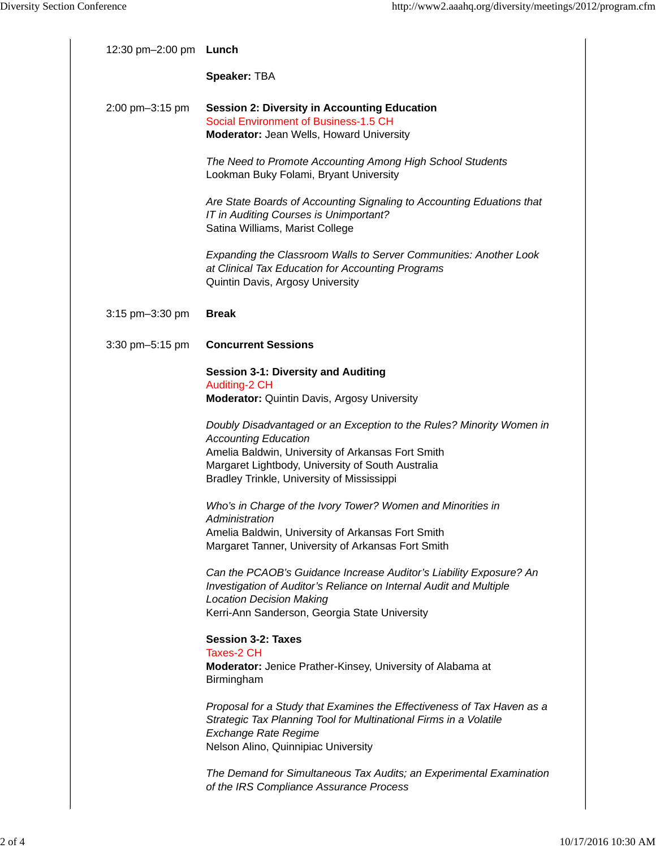| 12:30 pm-2:00 pm <b>Lunch</b> |                                                                                                                                                                                                                                                             |
|-------------------------------|-------------------------------------------------------------------------------------------------------------------------------------------------------------------------------------------------------------------------------------------------------------|
|                               | Speaker: TBA                                                                                                                                                                                                                                                |
| 2:00 pm-3:15 pm               | <b>Session 2: Diversity in Accounting Education</b><br>Social Environment of Business-1.5 CH<br><b>Moderator: Jean Wells, Howard University</b>                                                                                                             |
|                               | The Need to Promote Accounting Among High School Students<br>Lookman Buky Folami, Bryant University                                                                                                                                                         |
|                               | Are State Boards of Accounting Signaling to Accounting Eduations that<br>IT in Auditing Courses is Unimportant?<br>Satina Williams, Marist College                                                                                                          |
|                               | Expanding the Classroom Walls to Server Communities: Another Look<br>at Clinical Tax Education for Accounting Programs<br>Quintin Davis, Argosy University                                                                                                  |
| 3:15 pm-3:30 pm               | <b>Break</b>                                                                                                                                                                                                                                                |
| 3:30 pm-5:15 pm               | <b>Concurrent Sessions</b>                                                                                                                                                                                                                                  |
|                               | <b>Session 3-1: Diversity and Auditing</b><br>Auditing-2 CH<br><b>Moderator: Quintin Davis, Argosy University</b>                                                                                                                                           |
|                               | Doubly Disadvantaged or an Exception to the Rules? Minority Women in<br><b>Accounting Education</b><br>Amelia Baldwin, University of Arkansas Fort Smith<br>Margaret Lightbody, University of South Australia<br>Bradley Trinkle, University of Mississippi |
|                               | Who's in Charge of the Ivory Tower? Women and Minorities in<br>Administration<br>Amelia Baldwin, University of Arkansas Fort Smith<br>Margaret Tanner, University of Arkansas Fort Smith                                                                    |
|                               | Can the PCAOB's Guidance Increase Auditor's Liability Exposure? An<br>Investigation of Auditor's Reliance on Internal Audit and Multiple<br><b>Location Decision Making</b><br>Kerri-Ann Sanderson, Georgia State University                                |
|                               | <b>Session 3-2: Taxes</b><br><b>Taxes-2 CH</b><br>Moderator: Jenice Prather-Kinsey, University of Alabama at<br>Birmingham                                                                                                                                  |
|                               | Proposal for a Study that Examines the Effectiveness of Tax Haven as a<br>Strategic Tax Planning Tool for Multinational Firms in a Volatile<br><b>Exchange Rate Regime</b><br>Nelson Alino, Quinnipiac University                                           |
|                               | The Demand for Simultaneous Tax Audits; an Experimental Examination<br>of the IRS Compliance Assurance Process                                                                                                                                              |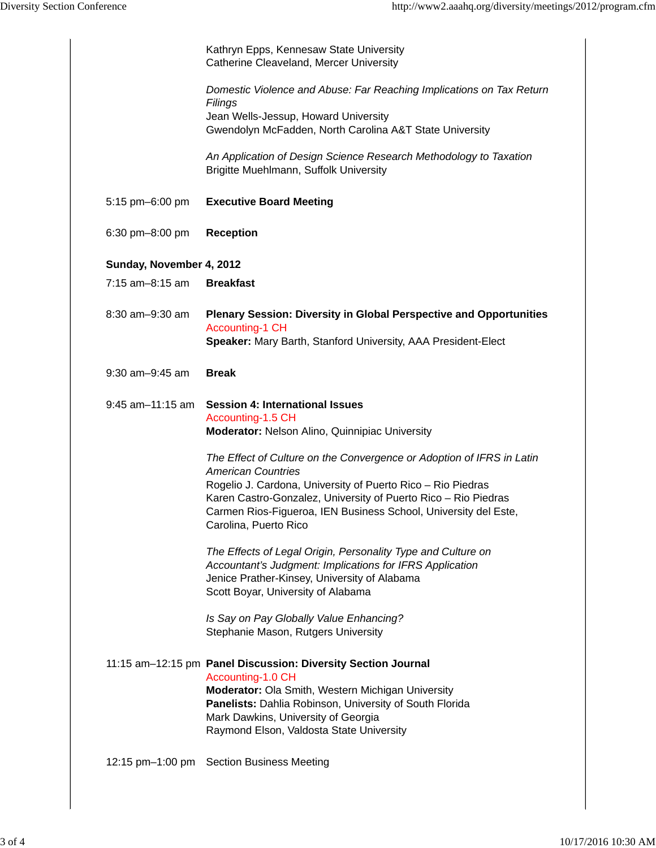|                          | Kathryn Epps, Kennesaw State University<br>Catherine Cleaveland, Mercer University                                                                                                                                                                                                                                              |
|--------------------------|---------------------------------------------------------------------------------------------------------------------------------------------------------------------------------------------------------------------------------------------------------------------------------------------------------------------------------|
|                          | Domestic Violence and Abuse: Far Reaching Implications on Tax Return<br>Filings<br>Jean Wells-Jessup, Howard University<br>Gwendolyn McFadden, North Carolina A&T State University                                                                                                                                              |
|                          | An Application of Design Science Research Methodology to Taxation<br>Brigitte Muehlmann, Suffolk University                                                                                                                                                                                                                     |
| 5:15 pm-6:00 pm          | <b>Executive Board Meeting</b>                                                                                                                                                                                                                                                                                                  |
| 6:30 pm-8:00 pm          | <b>Reception</b>                                                                                                                                                                                                                                                                                                                |
| Sunday, November 4, 2012 |                                                                                                                                                                                                                                                                                                                                 |
| 7:15 am-8:15 am          | <b>Breakfast</b>                                                                                                                                                                                                                                                                                                                |
| 8:30 am-9:30 am          | <b>Plenary Session: Diversity in Global Perspective and Opportunities</b><br><b>Accounting-1 CH</b><br>Speaker: Mary Barth, Stanford University, AAA President-Elect                                                                                                                                                            |
| $9:30$ am $-9:45$ am     | <b>Break</b>                                                                                                                                                                                                                                                                                                                    |
| $9:45$ am $-11:15$ am    | <b>Session 4: International Issues</b><br>Accounting-1.5 CH<br>Moderator: Nelson Alino, Quinnipiac University                                                                                                                                                                                                                   |
|                          | The Effect of Culture on the Convergence or Adoption of IFRS in Latin<br><b>American Countries</b><br>Rogelio J. Cardona, University of Puerto Rico - Rio Piedras<br>Karen Castro-Gonzalez, University of Puerto Rico - Rio Piedras<br>Carmen Rios-Figueroa, IEN Business School, University del Este,<br>Carolina, Puerto Rico |
|                          | The Effects of Legal Origin, Personality Type and Culture on<br>Accountant's Judgment: Implications for IFRS Application<br>Jenice Prather-Kinsey, University of Alabama<br>Scott Boyar, University of Alabama                                                                                                                  |
|                          | Is Say on Pay Globally Value Enhancing?<br>Stephanie Mason, Rutgers University                                                                                                                                                                                                                                                  |
|                          | 11:15 am-12:15 pm Panel Discussion: Diversity Section Journal<br>Accounting-1.0 CH<br>Moderator: Ola Smith, Western Michigan University<br>Panelists: Dahlia Robinson, University of South Florida<br>Mark Dawkins, University of Georgia<br>Raymond Elson, Valdosta State University                                           |
|                          | 12:15 pm-1:00 pm Section Business Meeting                                                                                                                                                                                                                                                                                       |